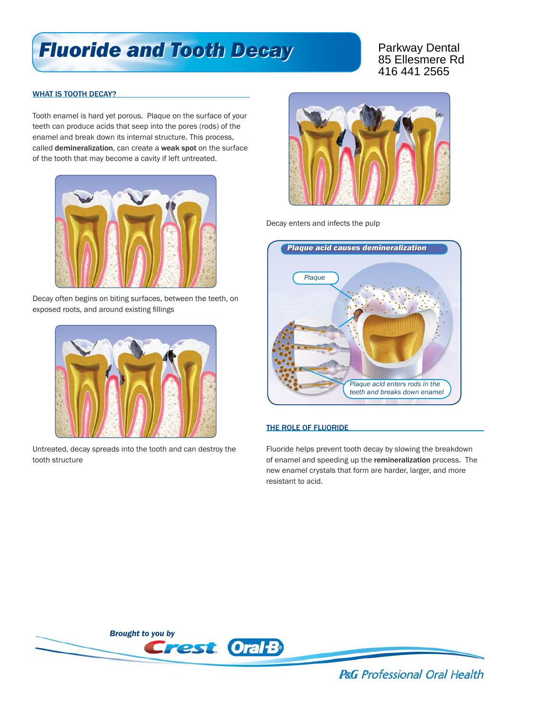## *Fluoride and Tooth Decay Fluoride and Tooth Decay*

Parkway Dental 85 Ellesmere Rd 416 441 2565

## WHAT IS TOOTH DECAY?

Tooth enamel is hard yet porous. Plaque on the surface of your teeth can produce acids that seep into the pores (rods) of the enamel and break down its internal structure. This process, called demineralization, can create a weak spot on the surface of the tooth that may become a cavity if left untreated.



Decay often begins on biting surfaces, between the teeth, on exposed roots, and around existing fillings



Untreated, decay spreads into the tooth and can destroy the tooth structure



Decay enters and infects the pulp



## THE ROLE OF FLUORIDE

Fluoride helps prevent tooth decay by slowing the breakdown of enamel and speeding up the remineralization process. The new enamel crystals that form are harder, larger, and more resistant to acid.



**P&G** Professional Oral Health